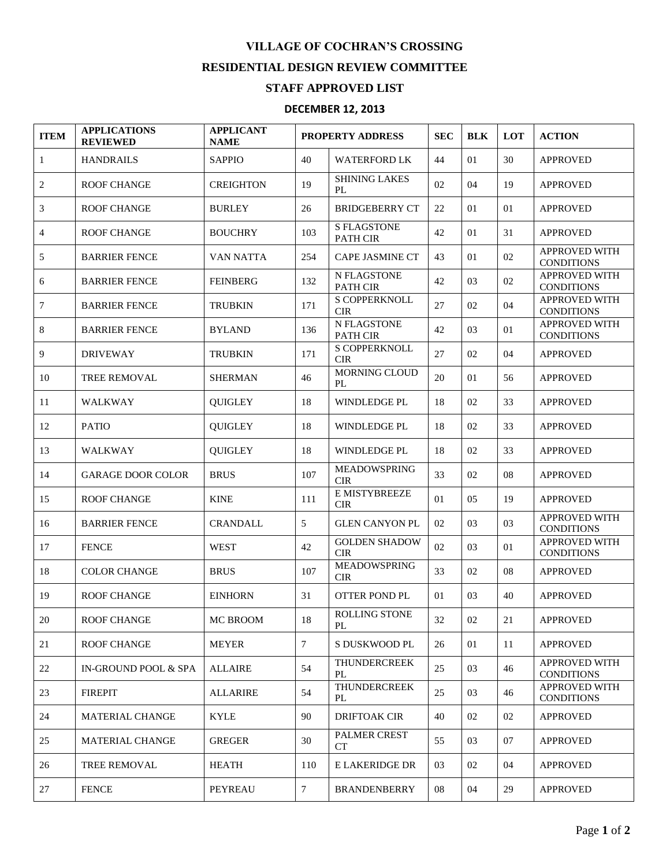## **VILLAGE OF COCHRAN'S CROSSING RESIDENTIAL DESIGN REVIEW COMMITTEE**

## **STAFF APPROVED LIST**

## **DECEMBER 12, 2013**

| <b>ITEM</b>    | <b>APPLICATIONS</b><br><b>REVIEWED</b> | <b>APPLICANT</b><br><b>NAME</b> | PROPERTY ADDRESS |                                    | <b>SEC</b> | <b>BLK</b> | LOT | <b>ACTION</b>                             |
|----------------|----------------------------------------|---------------------------------|------------------|------------------------------------|------------|------------|-----|-------------------------------------------|
| $\mathbf{1}$   | <b>HANDRAILS</b>                       | <b>SAPPIO</b>                   | 40               | <b>WATERFORD LK</b>                | 44         | 01         | 30  | <b>APPROVED</b>                           |
| 2              | <b>ROOF CHANGE</b>                     | <b>CREIGHTON</b>                | 19               | <b>SHINING LAKES</b><br>PL         | 02         | 04         | 19  | <b>APPROVED</b>                           |
| 3              | <b>ROOF CHANGE</b>                     | <b>BURLEY</b>                   | 26               | <b>BRIDGEBERRY CT</b>              | 22         | 01         | 01  | <b>APPROVED</b>                           |
| $\overline{4}$ | <b>ROOF CHANGE</b>                     | <b>BOUCHRY</b>                  | 103              | <b>S FLAGSTONE</b><br>PATH CIR     | 42         | 01         | 31  | <b>APPROVED</b>                           |
| 5              | <b>BARRIER FENCE</b>                   | <b>VAN NATTA</b>                | 254              | <b>CAPE JASMINE CT</b>             | 43         | 01         | 02  | APPROVED WITH<br><b>CONDITIONS</b>        |
| 6              | <b>BARRIER FENCE</b>                   | <b>FEINBERG</b>                 | 132              | N FLAGSTONE<br>PATH CIR            | 42         | 03         | 02  | APPROVED WITH<br><b>CONDITIONS</b>        |
| 7              | <b>BARRIER FENCE</b>                   | <b>TRUBKIN</b>                  | 171              | S COPPERKNOLL<br><b>CIR</b>        | 27         | 02         | 04  | APPROVED WITH<br><b>CONDITIONS</b>        |
| 8              | <b>BARRIER FENCE</b>                   | <b>BYLAND</b>                   | 136              | N FLAGSTONE<br><b>PATH CIR</b>     | 42         | 03         | 01  | APPROVED WITH<br><b>CONDITIONS</b>        |
| 9              | <b>DRIVEWAY</b>                        | <b>TRUBKIN</b>                  | 171              | S COPPERKNOLL<br><b>CIR</b>        | 27         | 02         | 04  | <b>APPROVED</b>                           |
| 10             | <b>TREE REMOVAL</b>                    | <b>SHERMAN</b>                  | 46               | MORNING CLOUD<br>PL                | 20         | 01         | 56  | <b>APPROVED</b>                           |
| 11             | <b>WALKWAY</b>                         | <b>QUIGLEY</b>                  | 18               | WINDLEDGE PL                       | 18         | 02         | 33  | <b>APPROVED</b>                           |
| 12             | <b>PATIO</b>                           | <b>QUIGLEY</b>                  | 18               | <b>WINDLEDGE PL</b>                | 18         | 02         | 33  | <b>APPROVED</b>                           |
| 13             | <b>WALKWAY</b>                         | <b>QUIGLEY</b>                  | 18               | WINDLEDGE PL                       | 18         | 02         | 33  | <b>APPROVED</b>                           |
| 14             | <b>GARAGE DOOR COLOR</b>               | <b>BRUS</b>                     | 107              | <b>MEADOWSPRING</b><br><b>CIR</b>  | 33         | 02         | 08  | <b>APPROVED</b>                           |
| 15             | <b>ROOF CHANGE</b>                     | <b>KINE</b>                     | 111              | E MISTYBREEZE<br><b>CIR</b>        | 01         | 05         | 19  | <b>APPROVED</b>                           |
| 16             | <b>BARRIER FENCE</b>                   | <b>CRANDALL</b>                 | 5                | <b>GLEN CANYON PL</b>              | 02         | 03         | 03  | APPROVED WITH<br><b>CONDITIONS</b>        |
| 17             | <b>FENCE</b>                           | <b>WEST</b>                     | 42               | <b>GOLDEN SHADOW</b><br><b>CIR</b> | 02         | 03         | 01  | APPROVED WITH<br><b>CONDITIONS</b>        |
| 18             | <b>COLOR CHANGE</b>                    | <b>BRUS</b>                     | 107              | <b>MEADOWSPRING</b><br><b>CIR</b>  | 33         | 02         | 08  | <b>APPROVED</b>                           |
| 19             | <b>ROOF CHANGE</b>                     | <b>EINHORN</b>                  | 31               | <b>OTTER POND PL</b>               | 01         | 03         | 40  | <b>APPROVED</b>                           |
| 20             | <b>ROOF CHANGE</b>                     | MC BROOM                        | 18               | ROLLING STONE<br>PL                | 32         | 02         | 21  | <b>APPROVED</b>                           |
| 21             | <b>ROOF CHANGE</b>                     | <b>MEYER</b>                    | $\tau$           | S DUSKWOOD PL                      | 26         | 01         | 11  | <b>APPROVED</b>                           |
| 22             | IN-GROUND POOL & SPA                   | <b>ALLAIRE</b>                  | 54               | <b>THUNDERCREEK</b><br>PL          | 25         | 03         | 46  | <b>APPROVED WITH</b><br><b>CONDITIONS</b> |
| 23             | <b>FIREPIT</b>                         | <b>ALLARIRE</b>                 | 54               | <b>THUNDERCREEK</b><br>PL          | 25         | 03         | 46  | APPROVED WITH<br><b>CONDITIONS</b>        |
| 24             | <b>MATERIAL CHANGE</b>                 | <b>KYLE</b>                     | 90               | DRIFTOAK CIR                       | 40         | 02         | 02  | <b>APPROVED</b>                           |
| 25             | <b>MATERIAL CHANGE</b>                 | <b>GREGER</b>                   | 30               | <b>PALMER CREST</b><br>CT          | 55         | 03         | 07  | <b>APPROVED</b>                           |
| 26             | TREE REMOVAL                           | <b>HEATH</b>                    | 110              | E LAKERIDGE DR                     | 03         | 02         | 04  | <b>APPROVED</b>                           |
| 27             | <b>FENCE</b>                           | <b>PEYREAU</b>                  | 7                | <b>BRANDENBERRY</b>                | 08         | 04         | 29  | <b>APPROVED</b>                           |